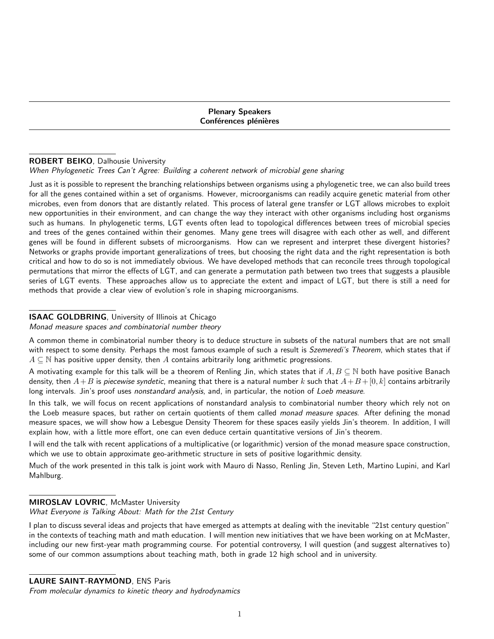Plenary Speakers Conférences plénières

# ROBERT BEIKO, Dalhousie University

#### When Phylogenetic Trees Can't Agree: Building a coherent network of microbial gene sharing

Just as it is possible to represent the branching relationships between organisms using a phylogenetic tree, we can also build trees for all the genes contained within a set of organisms. However, microorganisms can readily acquire genetic material from other microbes, even from donors that are distantly related. This process of lateral gene transfer or LGT allows microbes to exploit new opportunities in their environment, and can change the way they interact with other organisms including host organisms such as humans. In phylogenetic terms, LGT events often lead to topological differences between trees of microbial species and trees of the genes contained within their genomes. Many gene trees will disagree with each other as well, and different genes will be found in different subsets of microorganisms. How can we represent and interpret these divergent histories? Networks or graphs provide important generalizations of trees, but choosing the right data and the right representation is both critical and how to do so is not immediately obvious. We have developed methods that can reconcile trees through topological permutations that mirror the effects of LGT, and can generate a permutation path between two trees that suggests a plausible series of LGT events. These approaches allow us to appreciate the extent and impact of LGT, but there is still a need for methods that provide a clear view of evolution's role in shaping microorganisms.

### **ISAAC GOLDBRING**, University of Illinois at Chicago

#### Monad measure spaces and combinatorial number theory

A common theme in combinatorial number theory is to deduce structure in subsets of the natural numbers that are not small with respect to some density. Perhaps the most famous example of such a result is Szemeredi's Theorem, which states that if  $A \subseteq \mathbb{N}$  has positive upper density, then A contains arbitrarily long arithmetic progressions.

A motivating example for this talk will be a theorem of Renling Jin, which states that if  $A, B \subseteq \mathbb{N}$  both have positive Banach density, then  $A+B$  is piecewise syndetic, meaning that there is a natural number k such that  $A+B+[0, k]$  contains arbitrarily long intervals. Jin's proof uses nonstandard analysis, and, in particular, the notion of Loeb measure.

In this talk, we will focus on recent applications of nonstandard analysis to combinatorial number theory which rely not on the Loeb measure spaces, but rather on certain quotients of them called monad measure spaces. After defining the monad measure spaces, we will show how a Lebesgue Density Theorem for these spaces easily yields Jin's theorem. In addition, I will explain how, with a little more effort, one can even deduce certain quantitative versions of Jin's theorem.

I will end the talk with recent applications of a multiplicative (or logarithmic) version of the monad measure space construction, which we use to obtain approximate geo-arithmetic structure in sets of positive logarithmic density.

Much of the work presented in this talk is joint work with Mauro di Nasso, Renling Jin, Steven Leth, Martino Lupini, and Karl Mahlburg.

# **MIROSLAV LOVRIC, McMaster University**

#### What Everyone is Talking About: Math for the 21st Century

I plan to discuss several ideas and projects that have emerged as attempts at dealing with the inevitable "21st century question" in the contexts of teaching math and math education. I will mention new initiatives that we have been working on at McMaster, including our new first-year math programming course. For potential controversy, I will question (and suggest alternatives to) some of our common assumptions about teaching math, both in grade 12 high school and in university.

# LAURE SAINT-RAYMOND, ENS Paris

From molecular dynamics to kinetic theory and hydrodynamics